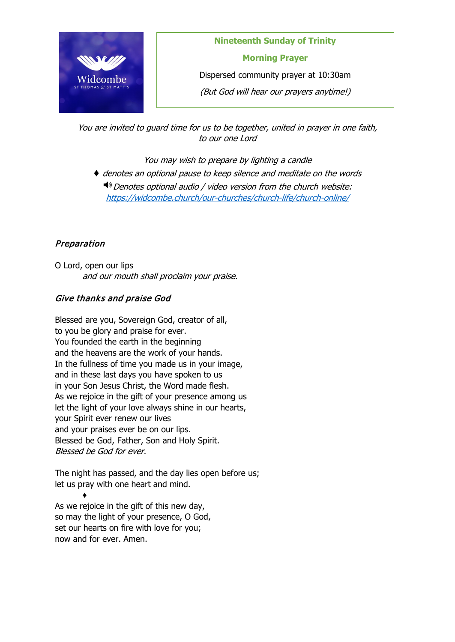

**Nineteenth Sunday of Trinity Morning Prayer**

Dispersed community prayer at 10:30am

(But God will hear our prayers anytime!)

You are invited to guard time for us to be together, united in prayer in one faith, to our one Lord

You may wish to prepare by lighting a candle

♦ denotes an optional pause to keep silence and meditate on the words  $\blacktriangleleft$ <sup>®</sup> Denotes optional audio / video version from the church website: <https://widcombe.church/our-churches/church-life/church-online/>

# Preparation

O Lord, open our lips and our mouth shall proclaim your praise.

# Give thanks and praise God

Blessed are you, Sovereign God, creator of all, to you be glory and praise for ever. You founded the earth in the beginning and the heavens are the work of your hands. In the fullness of time you made us in your image, and in these last days you have spoken to us in your Son Jesus Christ, the Word made flesh. As we rejoice in the gift of your presence among us let the light of your love always shine in our hearts, your Spirit ever renew our lives and your praises ever be on our lips. Blessed be God, Father, Son and Holy Spirit. Blessed be God for ever.

The night has passed, and the day lies open before us; let us pray with one heart and mind.

♦ As we rejoice in the gift of this new day, so may the light of your presence, O God, set our hearts on fire with love for you; now and for ever. Amen.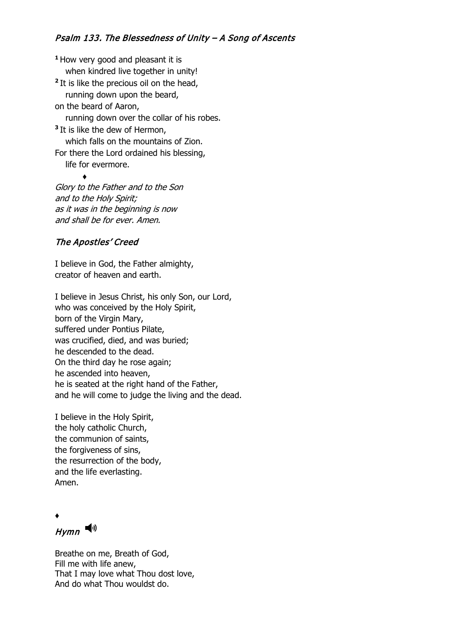# Psalm 133. The Blessedness of Unity – A Song of Ascents

**<sup>1</sup>**How very good and pleasant it is when kindred live together in unity! <sup>2</sup> It is like the precious oil on the head, running down upon the beard, on the beard of Aaron, running down over the collar of his robes. **<sup>3</sup>**It is like the dew of Hermon, which falls on the mountains of Zion. For there the Lord ordained his blessing, life for evermore. ♦

Glory to the Father and to the Son and to the Holy Spirit; as it was in the beginning is now and shall be for ever. Amen.

#### The Apostles' Creed

I believe in God, the Father almighty, creator of heaven and earth.

I believe in Jesus Christ, his only Son, our Lord, who was conceived by the Holy Spirit, born of the Virgin Mary, suffered under Pontius Pilate, was crucified, died, and was buried; he descended to the dead. On the third day he rose again; he ascended into heaven, he is seated at the right hand of the Father, and he will come to judge the living and the dead.

I believe in the Holy Spirit, the holy catholic Church, the communion of saints, the forgiveness of sins, the resurrection of the body, and the life everlasting. Amen.

♦

 $H$ ymn

Breathe on me, Breath of God, Fill me with life anew, That I may love what Thou dost love, And do what Thou wouldst do.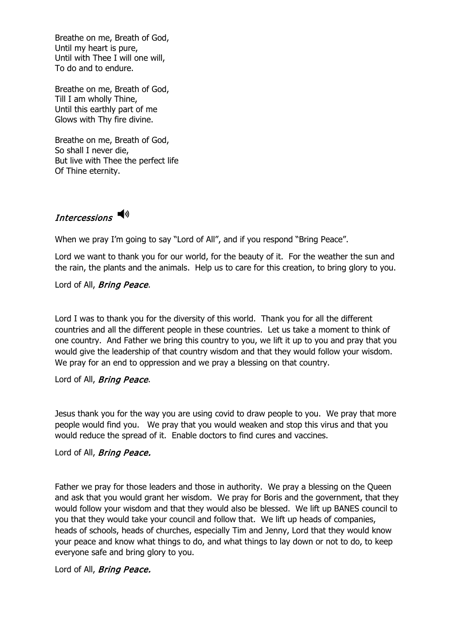Breathe on me, Breath of God, Until my heart is pure, Until with Thee I will one will, To do and to endure.

Breathe on me, Breath of God, Till I am wholly Thine, Until this earthly part of me Glows with Thy fire divine.

Breathe on me, Breath of God, So shall I never die, But live with Thee the perfect life Of Thine eternity.

# Intercessions

When we pray I'm going to say "Lord of All", and if you respond "Bring Peace".

Lord we want to thank you for our world, for the beauty of it. For the weather the sun and the rain, the plants and the animals. Help us to care for this creation, to bring glory to you.

Lord of All, **Bring Peace.** 

Lord I was to thank you for the diversity of this world. Thank you for all the different countries and all the different people in these countries. Let us take a moment to think of one country. And Father we bring this country to you, we lift it up to you and pray that you would give the leadership of that country wisdom and that they would follow your wisdom. We pray for an end to oppression and we pray a blessing on that country.

#### Lord of All, **Bring Peace.**

Jesus thank you for the way you are using covid to draw people to you. We pray that more people would find you. We pray that you would weaken and stop this virus and that you would reduce the spread of it. Enable doctors to find cures and vaccines.

#### Lord of All, **Bring Peace.**

Father we pray for those leaders and those in authority. We pray a blessing on the Queen and ask that you would grant her wisdom. We pray for Boris and the government, that they would follow your wisdom and that they would also be blessed. We lift up BANES council to you that they would take your council and follow that. We lift up heads of companies, heads of schools, heads of churches, especially Tim and Jenny, Lord that they would know your peace and know what things to do, and what things to lay down or not to do, to keep everyone safe and bring glory to you.

#### Lord of All, **Bring Peace.**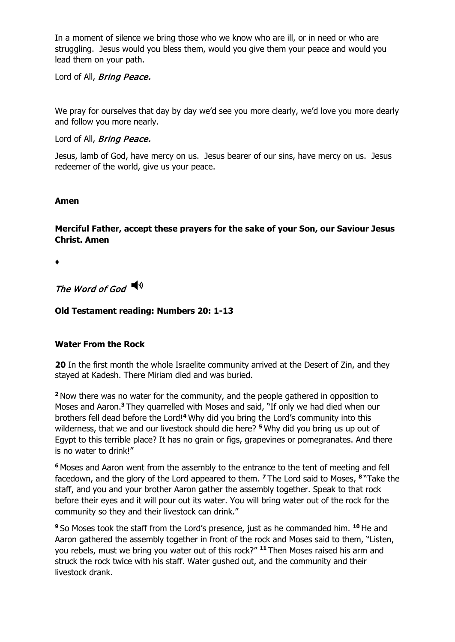In a moment of silence we bring those who we know who are ill, or in need or who are struggling. Jesus would you bless them, would you give them your peace and would you lead them on your path.

Lord of All, **Bring Peace.** 

We pray for ourselves that day by day we'd see you more clearly, we'd love you more dearly and follow you more nearly.

## Lord of All, **Bring Peace.**

Jesus, lamb of God, have mercy on us. Jesus bearer of our sins, have mercy on us. Jesus redeemer of the world, give us your peace.

#### **Amen**

**Merciful Father, accept these prayers for the sake of your Son, our Saviour Jesus Christ. Amen**

♦

The Word of God

# **Old Testament reading: Numbers 20: 1-13**

# **Water From the Rock**

**20** In the first month the whole Israelite community arrived at the Desert of Zin, and they stayed at Kadesh. There Miriam died and was buried.

**<sup>2</sup>**Now there was no water for the community, and the people gathered in opposition to Moses and Aaron.**<sup>3</sup>**They quarrelled with Moses and said, "If only we had died when our brothers fell dead before the Lord! **<sup>4</sup>**Why did you bring the Lord's community into this wilderness, that we and our livestock should die here? **<sup>5</sup>**Why did you bring us up out of Egypt to this terrible place? It has no grain or figs, grapevines or pomegranates. And there is no water to drink!"

**<sup>6</sup>**Moses and Aaron went from the assembly to the entrance to the tent of meeting and fell facedown, and the glory of the Lord appeared to them. **<sup>7</sup>**The Lord said to Moses, **<sup>8</sup>**"Take the staff, and you and your brother Aaron gather the assembly together. Speak to that rock before their eyes and it will pour out its water. You will bring water out of the rock for the community so they and their livestock can drink."

**<sup>9</sup>**So Moses took the staff from the Lord's presence, just as he commanded him. **<sup>10</sup>** He and Aaron gathered the assembly together in front of the rock and Moses said to them, "Listen, you rebels, must we bring you water out of this rock?" **<sup>11</sup>** Then Moses raised his arm and struck the rock twice with his staff. Water gushed out, and the community and their livestock drank.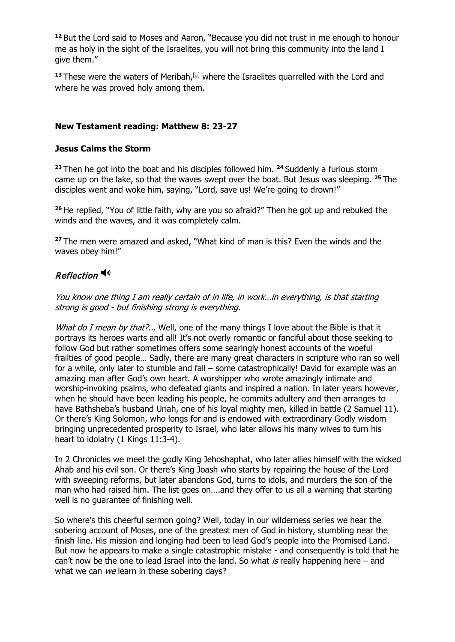**<sup>12</sup>** But the Lord said to Moses and Aaron, "Because you did not trust in me enough to honour me as holy in the sight of the Israelites, you will not bring this community into the land I give them."

<sup>13</sup> These were the waters of Meribah,<sup>[\[a\]](https://www.biblegateway.com/passage/?search=Numbers%2020:1-13&version=NIV#fen-NIV-4325a)</sup> where the Israelites quarrelled with the Lord and where he was proved holy among them.

# **New Testament reading: Matthew 8: 23-27**

## **Jesus Calms the Storm**

**<sup>23</sup>** Then he got into the boat and his disciples followed him. **<sup>24</sup>** Suddenly a furious storm came up on the lake, so that the waves swept over the boat. But Jesus was sleeping. **<sup>25</sup>** The disciples went and woke him, saying, "Lord, save us! We're going to drown!"

**<sup>26</sup>** He replied, "You of little faith, why are you so afraid?" Then he got up and rebuked the winds and the waves, and it was completely calm.

**<sup>27</sup>** The men were amazed and asked, "What kind of man is this? Even the winds and the waves obey him!"

# Reflection<sup>(1)</sup>

You know one thing I am really certain of in life, in work…in everything, is that starting strong is good - but finishing strong is everything.

What do I mean by that?... Well, one of the many things I love about the Bible is that it portrays its heroes warts and all! It's not overly romantic or fanciful about those seeking to follow God but rather sometimes offers some searingly honest accounts of the woeful frailties of good people… Sadly, there are many great characters in scripture who ran so well for a while, only later to stumble and fall – some catastrophically! David for example was an amazing man after God's own heart. A worshipper who wrote amazingly intimate and worship-invoking psalms, who defeated giants and inspired a nation. In later years however, when he should have been leading his people, he commits adultery and then arranges to have Bathsheba's husband Uriah, one of his loyal mighty men, killed in battle (2 Samuel 11). Or there's King Solomon, who longs for and is endowed with extraordinary Godly wisdom bringing unprecedented prosperity to Israel, who later allows his many wives to turn his heart to idolatry (1 Kings 11:3-4).

In 2 Chronicles we meet the godly King Jehoshaphat, who later allies himself with the wicked Ahab and his evil son. Or there's King Joash who starts by repairing the house of the Lord with sweeping reforms, but later abandons God, turns to idols, and murders the son of the man who had raised him. The list goes on….and they offer to us all a warning that starting well is no guarantee of finishing well.

So where's this cheerful sermon going? Well, today in our wilderness series we hear the sobering account of Moses, one of the greatest men of God in history, stumbling near the finish line. His mission and longing had been to lead God's people into the Promised Land. But now he appears to make a single catastrophic mistake - and consequently is told that he can't now be the one to lead Israel into the land. So what is really happening here – and what we can we learn in these sobering days?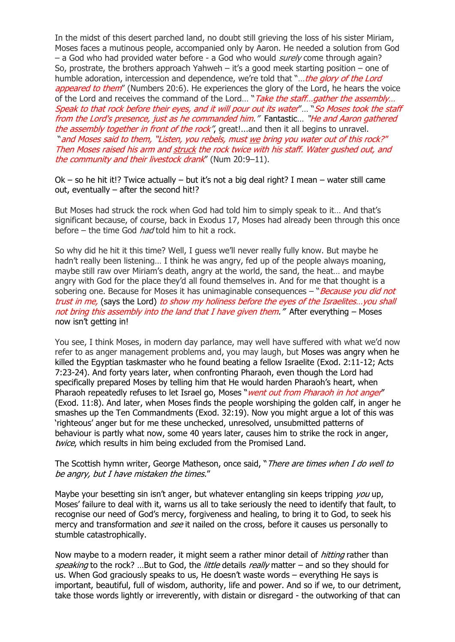In the midst of this desert parched land, no doubt still grieving the loss of his sister Miriam, Moses faces a mutinous people, accompanied only by Aaron. He needed a solution from God – a God who had provided water before - a God who would *surely* come through again? So, prostrate, the brothers approach Yahweh – it's a good meek starting position – one of humble adoration, intercession and dependence, we're told that "... the glory of the Lord appeared to them" (Numbers 20:6). He experiences the glory of the Lord, he hears the voice of the Lord and receives the command of the Lord... "Take the staff... gather the assembly... Speak to that rock before their eyes, and it will pour out its water"… "So Moses took the staff from the Lord's presence, just as he commanded him." Fantastic… "He and Aaron gathered the assembly together in front of the rock", great!...and then it all begins to unravel. "and Moses said to them, "Listen, you rebels, must we bring you water out of this rock?" Then Moses raised his arm and struck the rock twice with his staff. Water gushed out, and the community and their livestock drank" (Num 20:9-11).

Ok – so he hit it!? Twice actually – but it's not a big deal right? I mean – water still came out, eventually – after the second hit!?

But Moses had struck the rock when God had told him to simply speak to it… And that's significant because, of course, back in Exodus 17, Moses had already been through this once before – the time God *had* told him to hit a rock.

So why did he hit it this time? Well, I guess we'll never really fully know. But maybe he hadn't really been listening… I think he was angry, fed up of the people always moaning, maybe still raw over Miriam's death, angry at the world, the sand, the heat… and maybe angry with God for the place they'd all found themselves in. And for me that thought is a sobering one. Because for Moses it has unimaginable consequences - "Because you did not trust in me, (says the Lord) to show my holiness before the eyes of the Israelites... you shall not bring this assembly into the land that I have given them." After everything  $-$  Moses now isn't getting in!

You see, I think Moses, in modern day parlance, may well have suffered with what we'd now refer to as anger management problems and, you may laugh, but Moses was angry when he killed the Egyptian taskmaster who he found beating a fellow Israelite (Exod. 2:11-12; Acts 7:23-24). And forty years later, when confronting Pharaoh, even though the Lord had specifically prepared Moses by telling him that He would harden Pharaoh's heart, when Pharaoh repeatedly refuses to let Israel go, Moses "went out from Pharaoh in hot anger" (Exod. 11:8). And later, when Moses finds the people worshiping the golden calf, in anger he smashes up the Ten Commandments (Exod. 32:19). Now you might argue a lot of this was 'righteous' anger but for me these unchecked, unresolved, unsubmitted patterns of behaviour is partly what now, some 40 years later, causes him to strike the rock in anger, twice, which results in him being excluded from the Promised Land.

The Scottish hymn writer, George Matheson, once said, "There are times when I do well to be angry, but I have mistaken the times."

Maybe your besetting sin isn't anger, but whatever entangling sin keeps tripping you up, Moses' failure to deal with it, warns us all to take seriously the need to identify that fault, to recognise our need of God's mercy, forgiveness and healing, to bring it to God, to seek his mercy and transformation and *see* it nailed on the cross, before it causes us personally to stumble catastrophically.

Now maybe to a modern reader, it might seem a rather minor detail of *hitting* rather than speaking to the rock? ...But to God, the *little* details *really* matter – and so they should for us. When God graciously speaks to us, He doesn't waste words – everything He says is important, beautiful, full of wisdom, authority, life and power. And so if we, to our detriment, take those words lightly or irreverently, with distain or disregard - the outworking of that can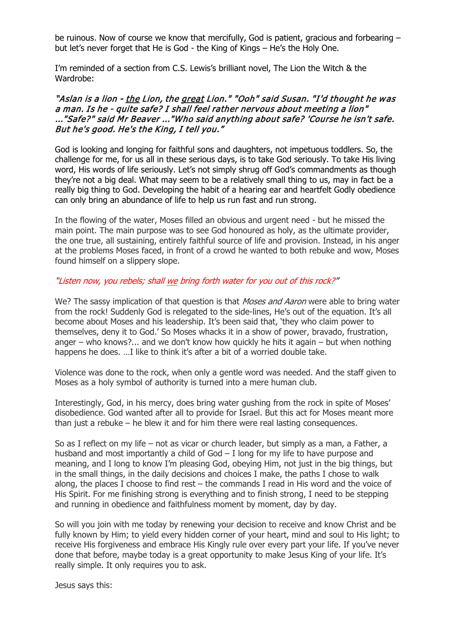be ruinous. Now of course we know that mercifully, God is patient, gracious and forbearing – but let's never forget that He is God - the King of Kings – He's the Holy One.

I'm reminded of a section from C.S. Lewis's brilliant novel, The Lion the Witch & the Wardrobe:

#### "Aslan is a lion - the Lion, the great Lion." "Ooh" said Susan. "I'd thought he was a man. Is he - quite safe? I shall feel rather nervous about meeting a lion" ..."Safe?" said Mr Beaver ..."Who said anything about safe? 'Course he isn't safe. But he's good. He's the King, I tell you."

God is looking and longing for faithful sons and daughters, not impetuous toddlers. So, the challenge for me, for us all in these serious days, is to take God seriously. To take His living word, His words of life seriously. Let's not simply shrug off God's commandments as though they're not a big deal. What may seem to be a relatively small thing to us, may in fact be a really big thing to God. Developing the habit of a hearing ear and heartfelt Godly obedience can only bring an abundance of life to help us run fast and run strong.

In the flowing of the water, Moses filled an obvious and urgent need - but he missed the main point. The main purpose was to see God honoured as holy, as the ultimate provider, the one true, all sustaining, entirely faithful source of life and provision. Instead, in his anger at the problems Moses faced, in front of a crowd he wanted to both rebuke and wow, Moses found himself on a slippery slope.

#### "Listen now, you rebels; shall we bring forth water for you out of this rock?"

We? The sassy implication of that question is that *Moses and Aaron* were able to bring water from the rock! Suddenly God is relegated to the side-lines, He's out of the equation. It's all become about Moses and his leadership. It's been said that, 'they who claim power to themselves, deny it to God.' So Moses whacks it in a show of power, bravado, frustration, anger – who knows?... and we don't know how quickly he hits it again – but when nothing happens he does. …I like to think it's after a bit of a worried double take.

Violence was done to the rock, when only a gentle word was needed. And the staff given to Moses as a holy symbol of authority is turned into a mere human club.

Interestingly, God, in his mercy, does bring water gushing from the rock in spite of Moses' disobedience. God wanted after all to provide for Israel. But this act for Moses meant more than just a rebuke – he blew it and for him there were real lasting consequences.

So as I reflect on my life – not as vicar or church leader, but simply as a man, a Father, a husband and most importantly a child of God – I long for my life to have purpose and meaning, and I long to know I'm pleasing God, obeying Him, not just in the big things, but in the small things, in the daily decisions and choices I make, the paths I chose to walk along, the places I choose to find rest – the commands I read in His word and the voice of His Spirit. For me finishing strong is everything and to finish strong, I need to be stepping and running in obedience and faithfulness moment by moment, day by day.

So will you join with me today by renewing your decision to receive and know Christ and be fully known by Him; to yield every hidden corner of your heart, mind and soul to His light; to receive His forgiveness and embrace His Kingly rule over every part your life. If you've never done that before, maybe today is a great opportunity to make Jesus King of your life. It's really simple. It only requires you to ask.

Jesus says this: